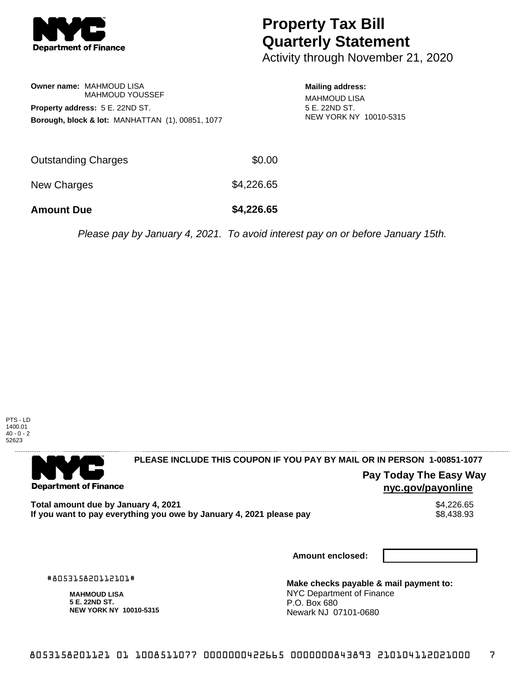

# **Property Tax Bill Quarterly Statement**

Activity through November 21, 2020

**Owner name:** MAHMOUD LISA MAHMOUD YOUSSEF **Property address:** 5 E. 22ND ST. **Borough, block & lot:** MANHATTAN (1), 00851, 1077 **Mailing address:** MAHMOUD LISA 5 E. 22ND ST. NEW YORK NY 10010-5315

| <b>Amount Due</b>   | \$4,226.65 |
|---------------------|------------|
| New Charges         | \$4,226.65 |
| Outstanding Charges | \$0.00     |

Please pay by January 4, 2021. To avoid interest pay on or before January 15th.



. . . . . . . . . . . . . . . .

## 

**Department of Finance** 

**PLEASE INCLUDE THIS COUPON IF YOU PAY BY MAIL OR IN PERSON 1-00851-1077** 

## **Pay Today The Easy Way nyc.gov/payonline**

**Total amount due by January 4, 2021**<br>If you want to pay everything you owe by January 4, 2021 please pay **show that the set of the set of the set of** If you want to pay everything you owe by January 4, 2021 please pay

**Amount enclosed:**

#805315820112101#

**MAHMOUD LISA 5 E. 22ND ST. NEW YORK NY 10010-5315**

**Make checks payable & mail payment to:** NYC Department of Finance P.O. Box 680 Newark NJ 07101-0680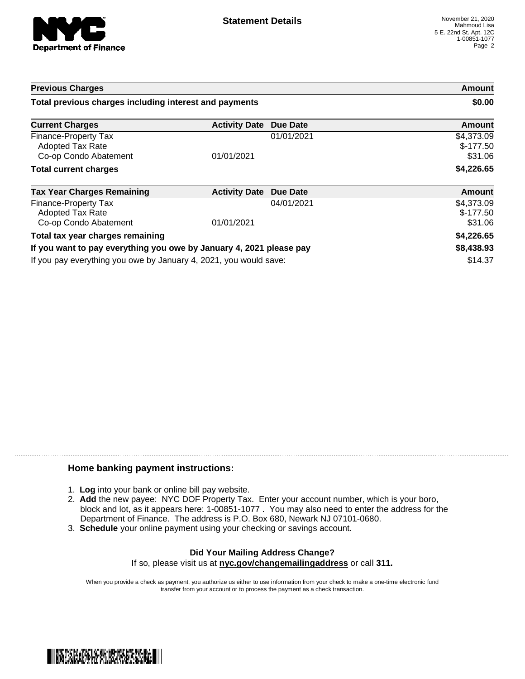

| <b>Previous Charges</b>                                                  |                      | Amount<br>\$0.00 |                                     |
|--------------------------------------------------------------------------|----------------------|------------------|-------------------------------------|
| Total previous charges including interest and payments                   |                      |                  |                                     |
| <b>Current Charges</b>                                                   | <b>Activity Date</b> | <b>Due Date</b>  | Amount                              |
| Finance-Property Tax<br><b>Adopted Tax Rate</b><br>Co-op Condo Abatement | 01/01/2021           | 01/01/2021       | \$4,373.09<br>$$-177.50$<br>\$31.06 |
| <b>Total current charges</b>                                             |                      |                  | \$4,226.65                          |
| <b>Tax Year Charges Remaining</b>                                        | <b>Activity Date</b> | <b>Due Date</b>  | <b>Amount</b>                       |
| Finance-Property Tax<br>Adopted Tax Rate<br>Co-op Condo Abatement        | 01/01/2021           | 04/01/2021       | \$4,373.09<br>$$-177.50$<br>\$31.06 |
| Total tax year charges remaining                                         |                      |                  | \$4,226.65                          |
| If you want to pay everything you owe by January 4, 2021 please pay      |                      | \$8,438.93       |                                     |
|                                                                          |                      |                  | $ - -$                              |

If you pay everything you owe by January 4, 2021, you would save: \$14.37

### **Home banking payment instructions:**

- 1. **Log** into your bank or online bill pay website.
- 2. **Add** the new payee: NYC DOF Property Tax. Enter your account number, which is your boro, block and lot, as it appears here: 1-00851-1077 . You may also need to enter the address for the Department of Finance. The address is P.O. Box 680, Newark NJ 07101-0680.
- 3. **Schedule** your online payment using your checking or savings account.

#### **Did Your Mailing Address Change?** If so, please visit us at **nyc.gov/changemailingaddress** or call **311.**

When you provide a check as payment, you authorize us either to use information from your check to make a one-time electronic fund transfer from your account or to process the payment as a check transaction.